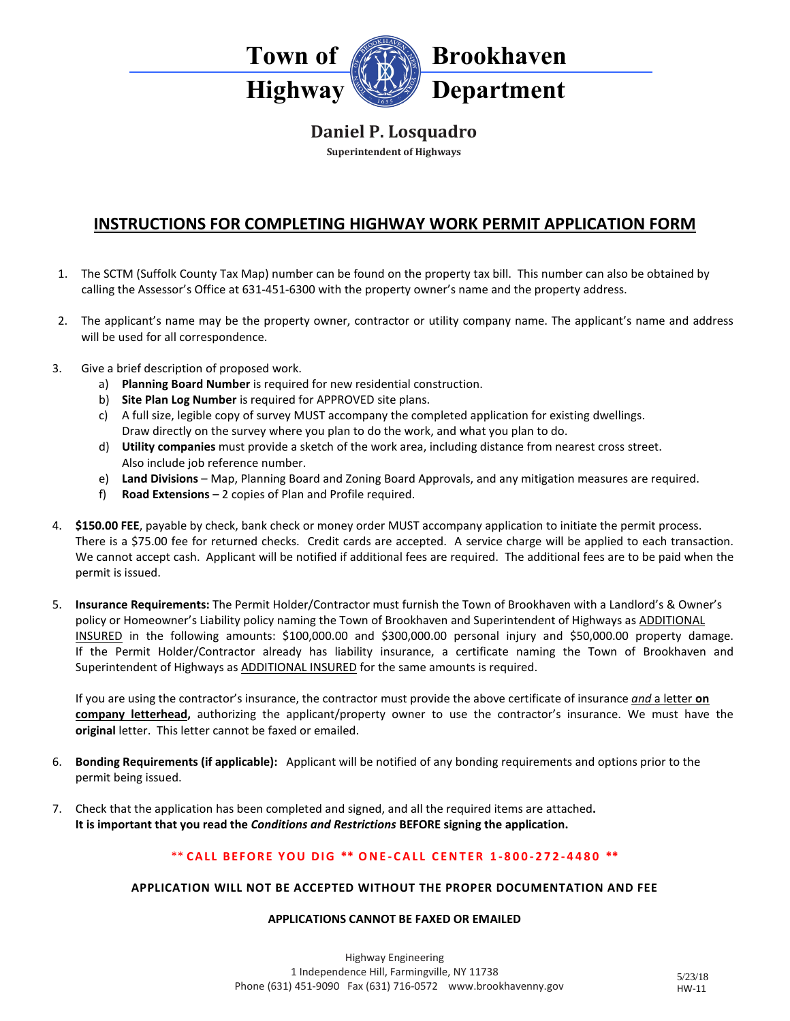

## **Daniel P. Losquadro**

**Superintendent of Highways**

# **INSTRUCTIONS FOR COMPLETING HIGHWAY WORK PERMIT APPLICATION FORM**

- 1. The SCTM (Suffolk County Tax Map) number can be found on the property tax bill. This number can also be obtained by calling the Assessor's Office at 631-451-6300 with the property owner's name and the property address.
- 2. The applicant's name may be the property owner, contractor or utility company name. The applicant's name and address will be used for all correspondence.
- 3. Give a brief description of proposed work.
	- a) **Planning Board Number** is required for new residential construction.
	- b) **Site Plan Log Number** is required for APPROVED site plans.
	- c) A full size, legible copy of survey MUST accompany the completed application for existing dwellings. Draw directly on the survey where you plan to do the work, and what you plan to do.
	- d) **Utility companies** must provide a sketch of the work area, including distance from nearest cross street. Also include job reference number.
	- e) **Land Divisions** Map, Planning Board and Zoning Board Approvals, and any mitigation measures are required.
	- f) **Road Extensions** 2 copies of Plan and Profile required.
- 4. **\$150.00 FEE**, payable by check, bank check or money order MUST accompany application to initiate the permit process. There is a \$75.00 fee for returned checks. Credit cards are accepted. A service charge will be applied to each transaction. We cannot accept cash. Applicant will be notified if additional fees are required. The additional fees are to be paid when the permit is issued.
- 5. **Insurance Requirements:** The Permit Holder/Contractor must furnish the Town of Brookhaven with a Landlord's & Owner's policy or Homeowner's Liability policy naming the Town of Brookhaven and Superintendent of Highways as ADDITIONAL INSURED in the following amounts: \$100,000.00 and \$300,000.00 personal injury and \$50,000.00 property damage. If the Permit Holder/Contractor already has liability insurance, a certificate naming the Town of Brookhaven and Superintendent of Highways as ADDITIONAL INSURED for the same amounts is required.

If you are using the contractor's insurance, the contractor must provide the above certificate of insurance *and* a letter **on company letterhead,** authorizing the applicant/property owner to use the contractor's insurance. We must have the **original** letter. This letter cannot be faxed or emailed.

- 6. **Bonding Requirements (if applicable):** Applicant will be notified of any bonding requirements and options prior to the permit being issued.
- 7. Check that the application has been completed and signed, and all the required items are attached**. It is important that you read the** *Conditions and Restrictions* **BEFORE signing the application.**

### \*\* **C ALL BEFORE YOU DIG \*\* ONE - CALL CENTER 1 - 800 - 272 - 4480 \*\***

#### **APPLICATION WILL NOT BE ACCEPTED WITHOUT THE PROPER DOCUMENTATION AND FEE**

#### **APPLICATIONS CANNOT BE FAXED OR EMAILED**